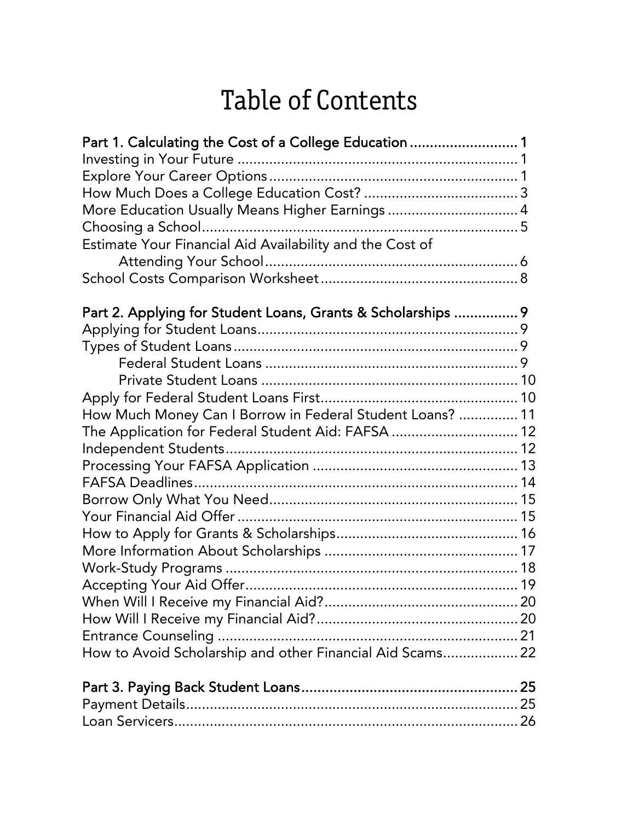| Part 1. Calculating the Cost of a College Education  1<br>More Education Usually Means Higher Earnings  4<br>Estimate Your Financial Aid Availability and the Cost of |
|-----------------------------------------------------------------------------------------------------------------------------------------------------------------------|
|                                                                                                                                                                       |
| Part 2. Applying for Student Loans, Grants & Scholarships  9                                                                                                          |
|                                                                                                                                                                       |
|                                                                                                                                                                       |
|                                                                                                                                                                       |
|                                                                                                                                                                       |
|                                                                                                                                                                       |
| How Much Money Can I Borrow in Federal Student Loans?  11                                                                                                             |
| The Application for Federal Student Aid: FAFSA  12                                                                                                                    |
|                                                                                                                                                                       |
|                                                                                                                                                                       |
|                                                                                                                                                                       |
|                                                                                                                                                                       |
|                                                                                                                                                                       |
|                                                                                                                                                                       |
|                                                                                                                                                                       |
|                                                                                                                                                                       |
|                                                                                                                                                                       |
|                                                                                                                                                                       |
|                                                                                                                                                                       |
|                                                                                                                                                                       |
| How to Avoid Scholarship and other Financial Aid Scams 22                                                                                                             |
|                                                                                                                                                                       |
|                                                                                                                                                                       |
|                                                                                                                                                                       |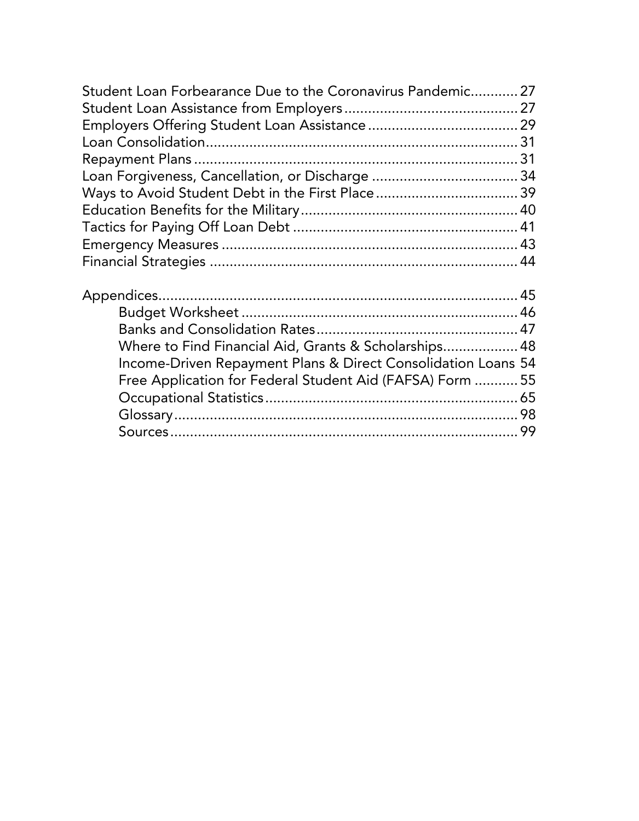| Student Loan Forbearance Due to the Coronavirus Pandemic 27                                                                    |  |
|--------------------------------------------------------------------------------------------------------------------------------|--|
|                                                                                                                                |  |
|                                                                                                                                |  |
|                                                                                                                                |  |
|                                                                                                                                |  |
|                                                                                                                                |  |
|                                                                                                                                |  |
|                                                                                                                                |  |
|                                                                                                                                |  |
|                                                                                                                                |  |
|                                                                                                                                |  |
|                                                                                                                                |  |
| $\mathsf{D}_{\mathsf{1}}$ , and see that $\mathsf{M}_{\mathsf{2}}$ and $\mathsf{L}_{\mathsf{3}}$ and $\mathsf{L}_{\mathsf{4}}$ |  |

| Where to Find Financial Aid, Grants & Scholarships 48         |  |
|---------------------------------------------------------------|--|
| Income-Driven Repayment Plans & Direct Consolidation Loans 54 |  |
| Free Application for Federal Student Aid (FAFSA) Form  55     |  |
|                                                               |  |
|                                                               |  |
|                                                               |  |
|                                                               |  |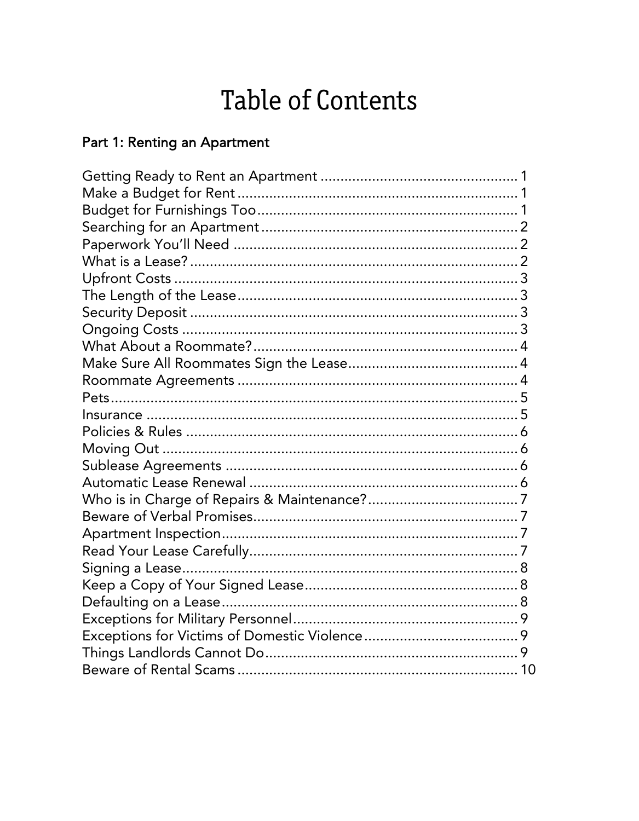#### Part 1: Renting an Apartment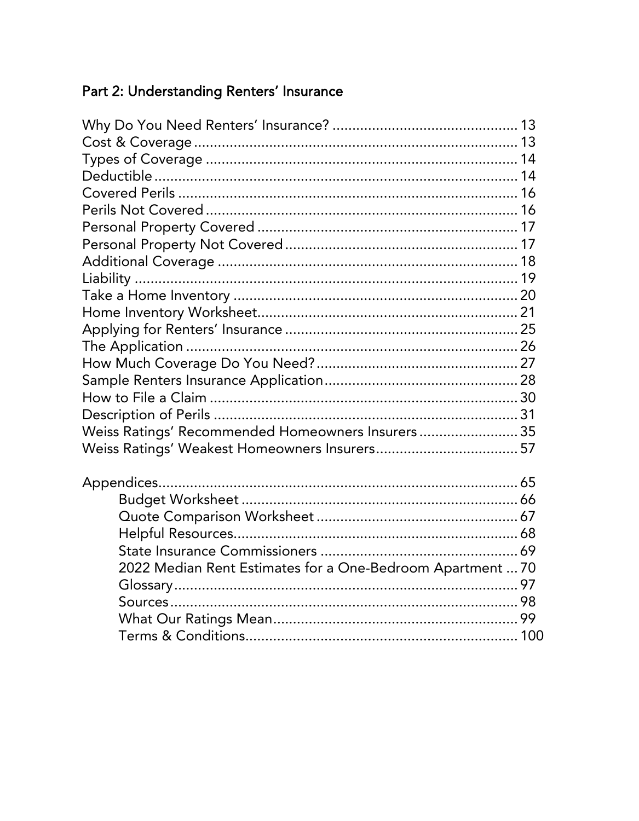#### Part 2: Understanding Renters' Insurance

| Weiss Ratings' Recommended Homeowners Insurers 35          |
|------------------------------------------------------------|
|                                                            |
|                                                            |
|                                                            |
|                                                            |
|                                                            |
|                                                            |
| 2022 Median Rent Estimates for a One-Bedroom Apartment  70 |
|                                                            |
|                                                            |
|                                                            |
|                                                            |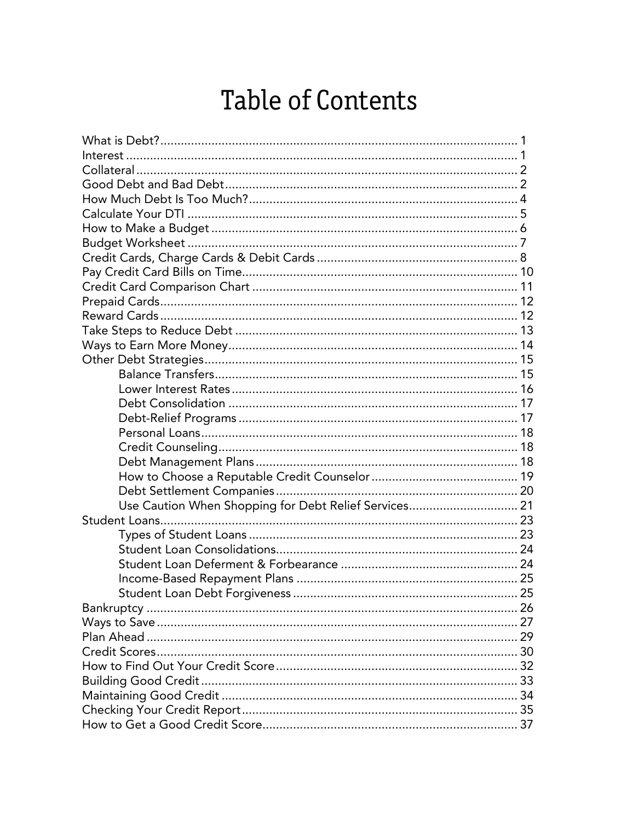| Use Caution When Shopping for Debt Relief Services 21 |  |
|-------------------------------------------------------|--|
|                                                       |  |
|                                                       |  |
|                                                       |  |
|                                                       |  |
|                                                       |  |
|                                                       |  |
|                                                       |  |
|                                                       |  |
|                                                       |  |
|                                                       |  |
|                                                       |  |
|                                                       |  |
|                                                       |  |
|                                                       |  |
|                                                       |  |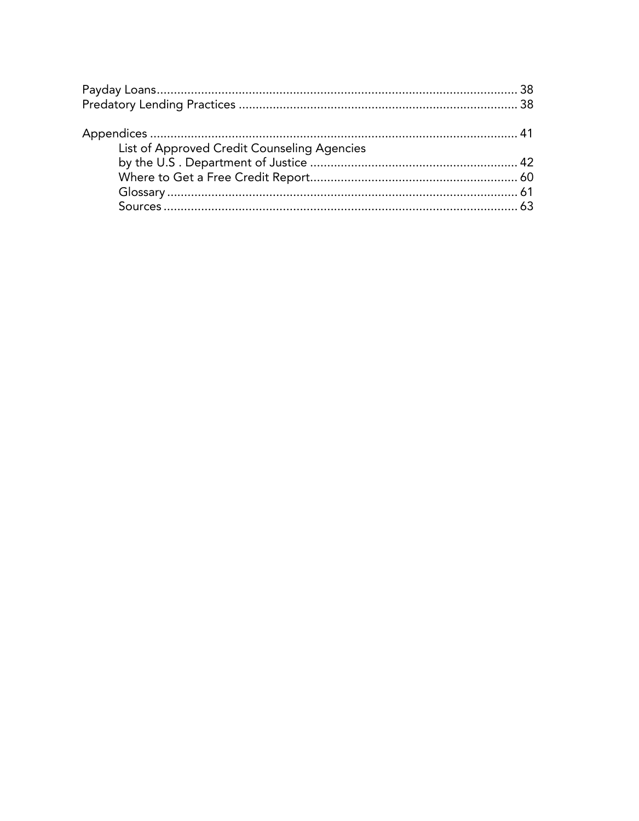| List of Approved Credit Counseling Agencies |  |
|---------------------------------------------|--|
|                                             |  |
|                                             |  |
|                                             |  |
|                                             |  |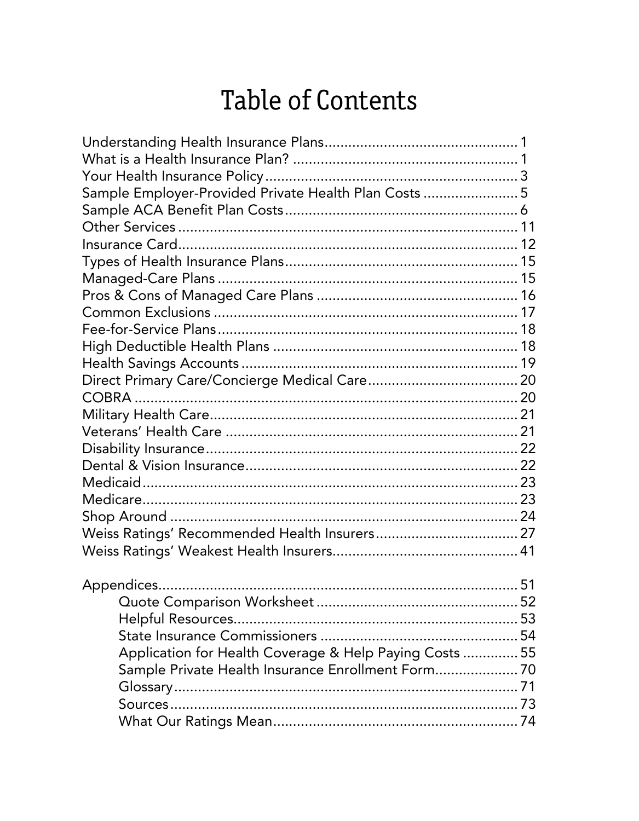| Sample Employer-Provided Private Health Plan Costs  5   |     |
|---------------------------------------------------------|-----|
|                                                         |     |
|                                                         |     |
|                                                         |     |
|                                                         |     |
|                                                         |     |
|                                                         |     |
|                                                         |     |
|                                                         |     |
|                                                         |     |
|                                                         |     |
|                                                         |     |
|                                                         |     |
|                                                         |     |
|                                                         |     |
|                                                         |     |
|                                                         |     |
|                                                         |     |
|                                                         |     |
|                                                         |     |
|                                                         |     |
|                                                         |     |
|                                                         |     |
| <b>Appendices</b>                                       | .51 |
|                                                         |     |
|                                                         |     |
|                                                         |     |
| Application for Health Coverage & Help Paying Costs  55 |     |
| Sample Private Health Insurance Enrollment Form 70      |     |
|                                                         |     |
|                                                         |     |
|                                                         |     |
|                                                         |     |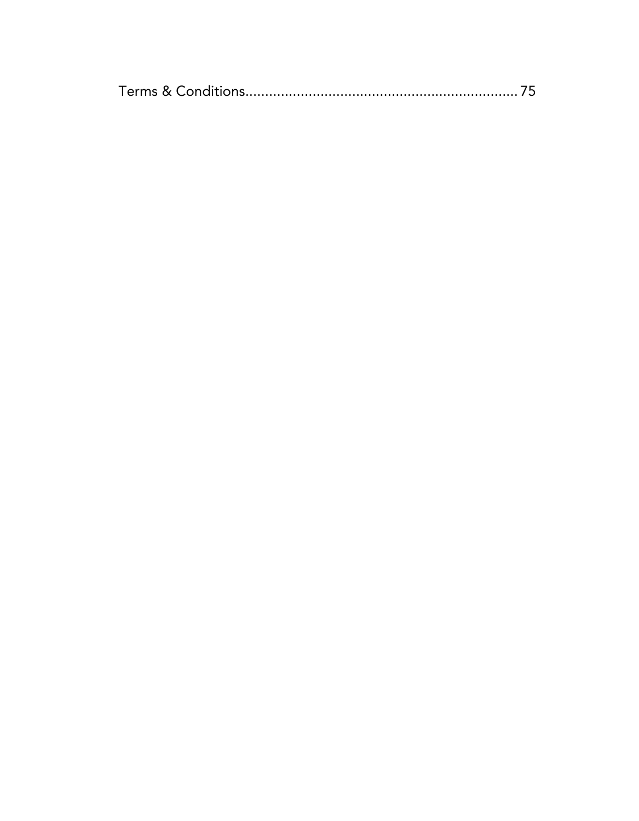|--|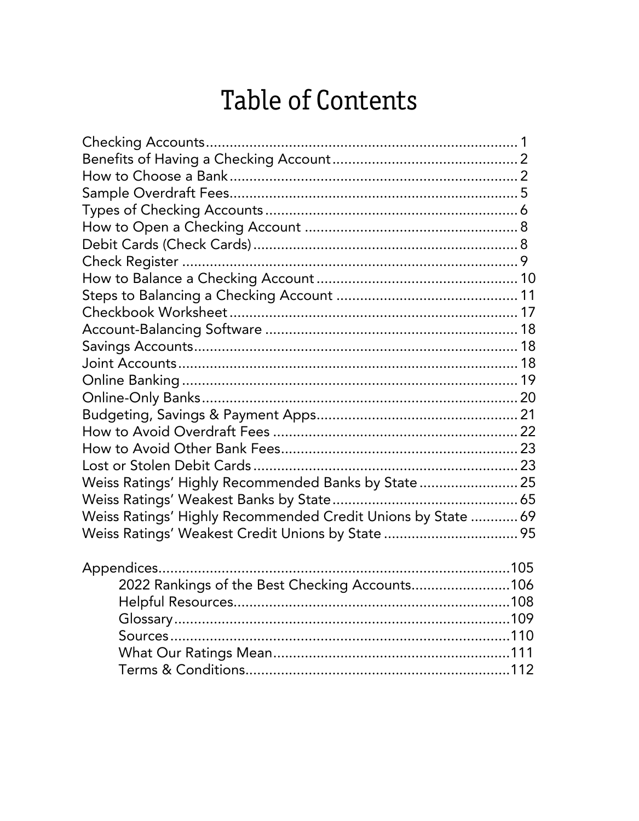| Weiss Ratings' Highly Recommended Banks by State  25         |  |
|--------------------------------------------------------------|--|
|                                                              |  |
| Weiss Ratings' Highly Recommended Credit Unions by State  69 |  |
| Weiss Ratings' Weakest Credit Unions by State  95            |  |
|                                                              |  |
| 2022 Rankings of the Best Checking Accounts106               |  |
|                                                              |  |
|                                                              |  |
|                                                              |  |
|                                                              |  |
|                                                              |  |
|                                                              |  |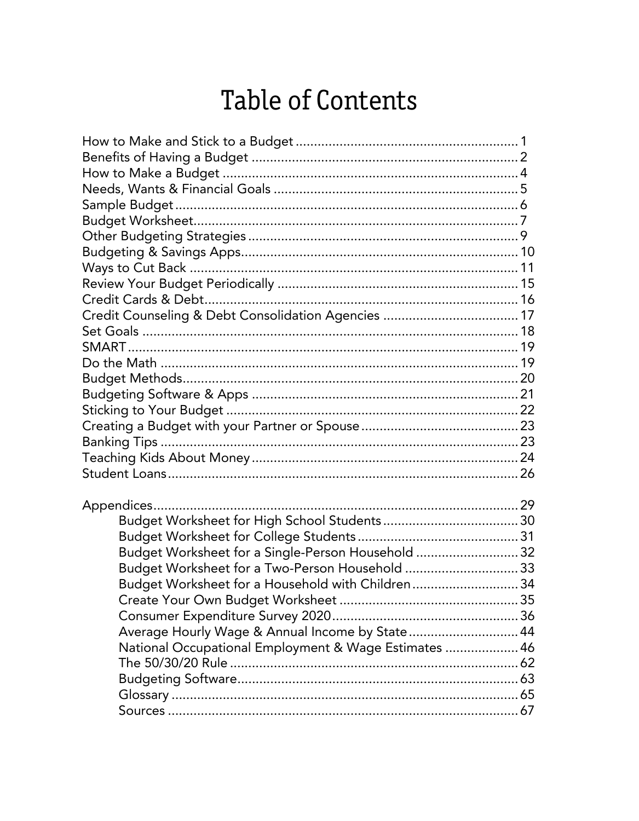| Credit Counseling & Debt Consolidation Agencies  17   |  |
|-------------------------------------------------------|--|
|                                                       |  |
|                                                       |  |
|                                                       |  |
|                                                       |  |
|                                                       |  |
|                                                       |  |
|                                                       |  |
|                                                       |  |
|                                                       |  |
|                                                       |  |
|                                                       |  |
|                                                       |  |
|                                                       |  |
|                                                       |  |
| Budget Worksheet for a Single-Person Household  32    |  |
| Budget Worksheet for a Two-Person Household  33       |  |
| Budget Worksheet for a Household with Children34      |  |
|                                                       |  |
|                                                       |  |
| Average Hourly Wage & Annual Income by State 44       |  |
| National Occupational Employment & Wage Estimates  46 |  |
|                                                       |  |
|                                                       |  |
|                                                       |  |
|                                                       |  |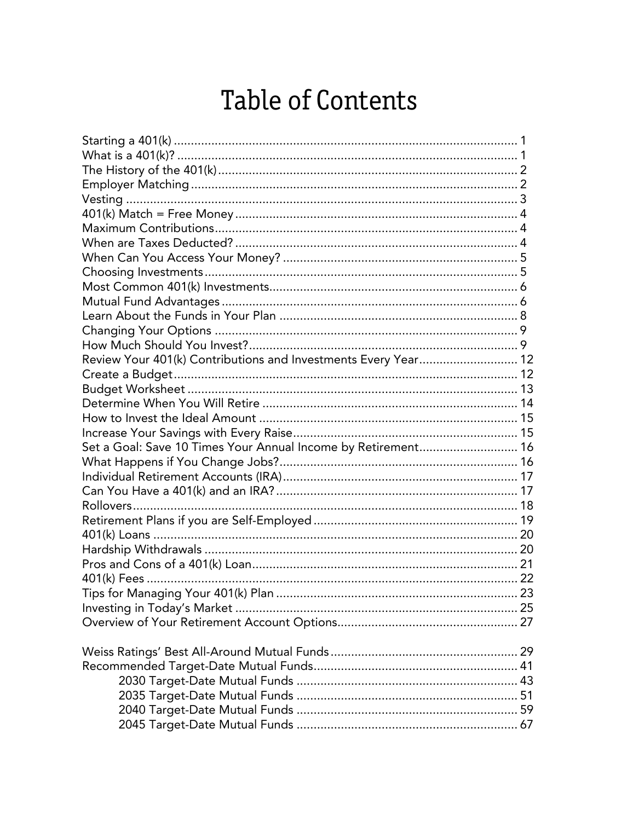| Review Your 401(k) Contributions and Investments Every Year 12 |  |
|----------------------------------------------------------------|--|
|                                                                |  |
|                                                                |  |
|                                                                |  |
|                                                                |  |
|                                                                |  |
| Set a Goal: Save 10 Times Your Annual Income by Retirement 16  |  |
|                                                                |  |
|                                                                |  |
|                                                                |  |
|                                                                |  |
|                                                                |  |
|                                                                |  |
|                                                                |  |
|                                                                |  |
|                                                                |  |
|                                                                |  |
|                                                                |  |
|                                                                |  |
|                                                                |  |
|                                                                |  |
|                                                                |  |
|                                                                |  |
|                                                                |  |
|                                                                |  |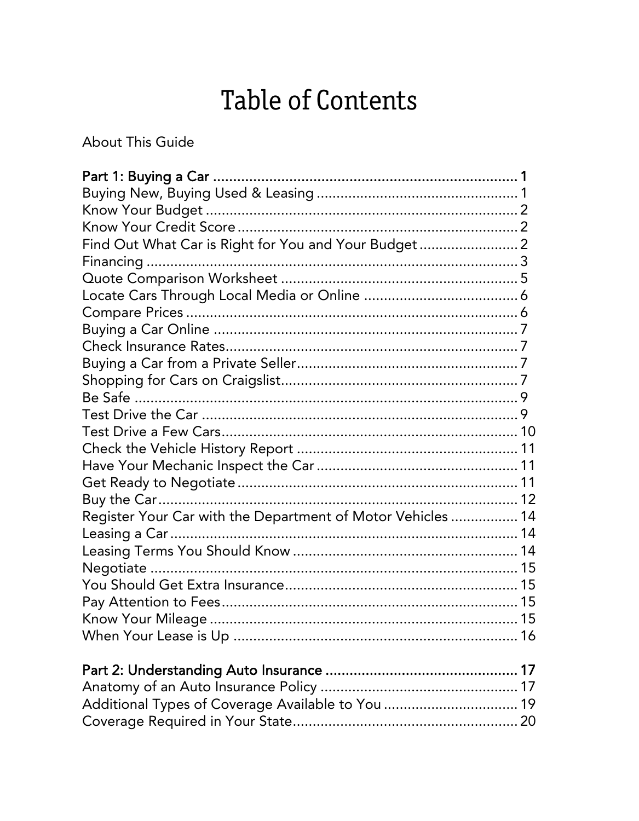**About This Guide** 

| Find Out What Car is Right for You and Your Budget 2        |
|-------------------------------------------------------------|
|                                                             |
|                                                             |
|                                                             |
|                                                             |
|                                                             |
|                                                             |
|                                                             |
|                                                             |
|                                                             |
|                                                             |
|                                                             |
|                                                             |
|                                                             |
|                                                             |
|                                                             |
| Register Your Car with the Department of Motor Vehicles  14 |
|                                                             |
|                                                             |
|                                                             |
|                                                             |
|                                                             |
|                                                             |
|                                                             |
|                                                             |
|                                                             |
|                                                             |
|                                                             |
|                                                             |